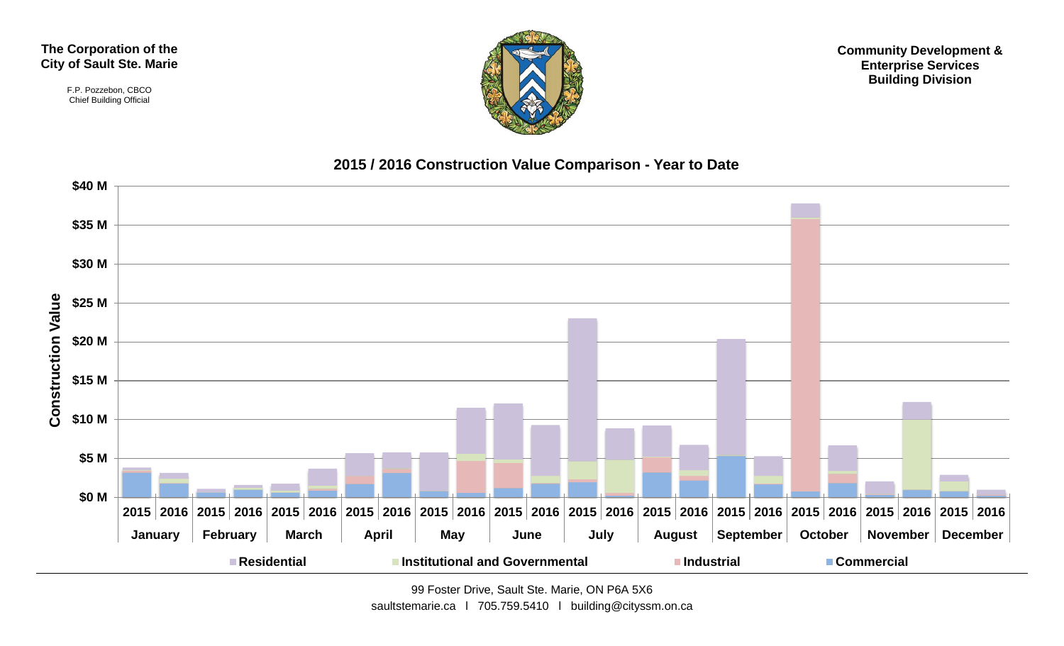#### **The Corporation of the City of Sault Ste. Marie**

F.P. Pozzebon, CBCO Chief Building Official



**Community Development & Enterprise Services Building Division**

#### **2015 / 2016 Construction Value Comparison - Year to Date**



99 Foster Drive, Sault Ste. Marie, ON P6A 5X6

saultstemarie.ca | 705.759.5410 | building@cityssm.on.ca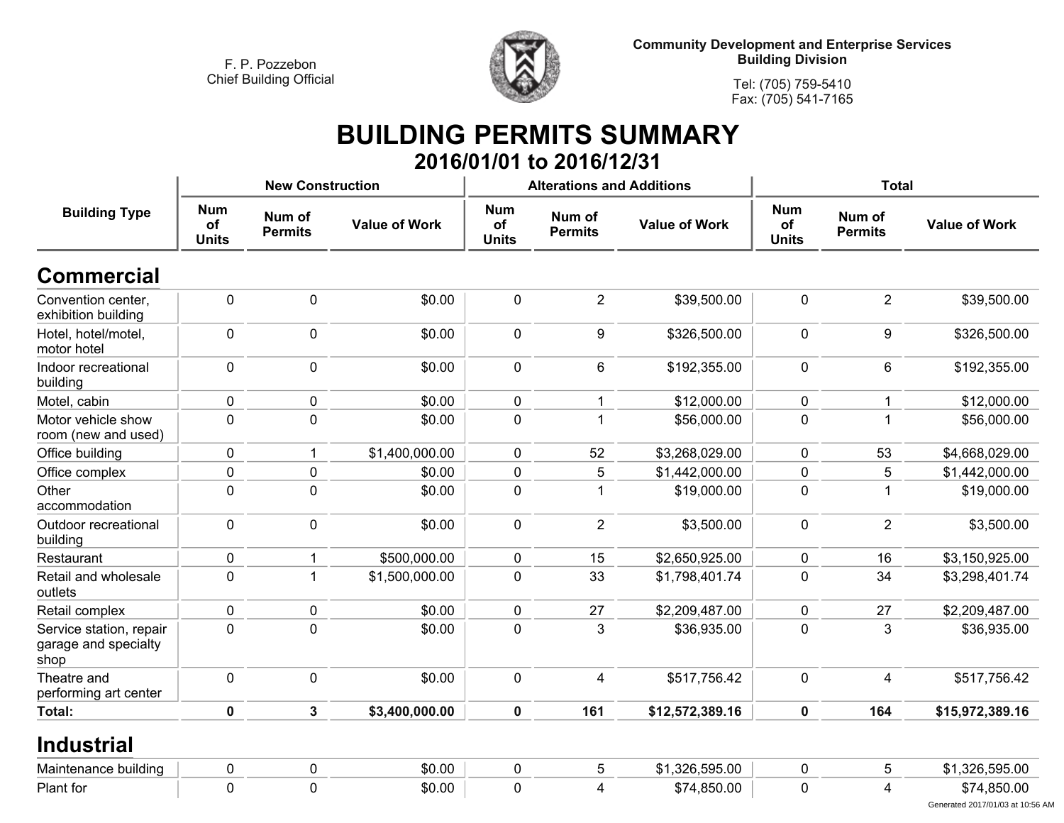

**Tel: (705) 759-5410Fax: (705) 541-7165**

#### **BUILDING PERMITS SUMMARY 2016/01/01 to 2016/12/31**

|                                                         |                                  | <b>New Construction</b>  |                      |                                  | <b>Alterations and Additions</b> |                      | <b>Total</b>                     |                          |                                                 |  |
|---------------------------------------------------------|----------------------------------|--------------------------|----------------------|----------------------------------|----------------------------------|----------------------|----------------------------------|--------------------------|-------------------------------------------------|--|
| <b>Building Type</b>                                    | <b>Num</b><br>of<br><b>Units</b> | Num of<br><b>Permits</b> | <b>Value of Work</b> | <b>Num</b><br>of<br><b>Units</b> | Num of<br><b>Permits</b>         | <b>Value of Work</b> | <b>Num</b><br>of<br><b>Units</b> | Num of<br><b>Permits</b> | <b>Value of Work</b>                            |  |
| <b>Commercial</b>                                       |                                  |                          |                      |                                  |                                  |                      |                                  |                          |                                                 |  |
| Convention center,<br>exhibition building               | 0                                | $\mathbf 0$              | \$0.00               | $\mathbf 0$                      | $\overline{2}$                   | \$39,500.00          | $\mathbf 0$                      | $\overline{2}$           | \$39,500.00                                     |  |
| Hotel, hotel/motel,<br>motor hotel                      | 0                                | $\mathbf 0$              | \$0.00               | $\mathbf 0$                      | 9                                | \$326,500.00         | $\mathbf 0$                      | 9                        | \$326,500.00                                    |  |
| Indoor recreational<br>building                         | 0                                | $\mathbf 0$              | \$0.00               | $\mathbf 0$                      | $6\phantom{a}$                   | \$192,355.00         | $\mathbf 0$                      | 6                        | \$192,355.00                                    |  |
| Motel, cabin                                            | 0                                | $\mathbf 0$              | \$0.00               | $\mathbf 0$                      | 1                                | \$12,000.00          | $\mathbf 0$                      | 1                        | \$12,000.00                                     |  |
| Motor vehicle show<br>room (new and used)               | 0                                | $\pmb{0}$                | \$0.00               | $\mathbf 0$                      | 1                                | \$56,000.00          | $\pmb{0}$                        | 1                        | \$56,000.00                                     |  |
| Office building                                         | 0                                | $\mathbf{1}$             | \$1,400,000.00       | $\mathbf 0$                      | 52                               | \$3,268,029.00       | $\mathbf 0$                      | 53                       | \$4,668,029.00                                  |  |
| Office complex                                          | 0                                | $\pmb{0}$                | \$0.00               | $\mathbf 0$                      | 5                                | \$1,442,000.00       | $\pmb{0}$                        | 5                        | \$1,442,000.00                                  |  |
| Other<br>accommodation                                  | $\mathbf 0$                      | $\mathbf 0$              | \$0.00               | $\mathbf 0$                      | 1                                | \$19,000.00          | $\mathbf 0$                      | 1                        | \$19,000.00                                     |  |
| Outdoor recreational<br>building                        | 0                                | $\mathbf 0$              | \$0.00               | $\mathbf 0$                      | $\overline{2}$                   | \$3,500.00           | $\mathbf 0$                      | $\overline{2}$           | \$3,500.00                                      |  |
| Restaurant                                              | 0                                | 1                        | \$500,000.00         | $\mathbf 0$                      | 15                               | \$2,650,925.00       | $\mathbf 0$                      | 16                       | \$3,150,925.00                                  |  |
| Retail and wholesale<br>outlets                         | $\mathbf 0$                      | $\mathbf{1}$             | \$1,500,000.00       | $\mathbf 0$                      | 33                               | \$1,798,401.74       | $\mathbf 0$                      | 34                       | \$3,298,401.74                                  |  |
| Retail complex                                          | 0                                | 0                        | \$0.00               | 0                                | 27                               | \$2,209,487.00       | 0                                | 27                       | \$2,209,487.00                                  |  |
| Service station, repair<br>garage and specialty<br>shop | $\mathbf 0$                      | $\mathbf 0$              | \$0.00               | $\mathbf 0$                      | 3                                | \$36,935.00          | $\mathbf 0$                      | 3                        | \$36,935.00                                     |  |
| Theatre and<br>performing art center                    | 0                                | $\pmb{0}$                | \$0.00               | $\mathbf 0$                      | $\overline{\mathbf{4}}$          | \$517,756.42         | $\mathbf 0$                      | 4                        | \$517,756.42                                    |  |
| Total:                                                  | $\mathbf 0$                      | $\mathbf{3}$             | \$3,400,000.00       | $\mathbf 0$                      | 161                              | \$12,572,389.16      | $\mathbf 0$                      | 164                      | \$15,972,389.16                                 |  |
| <b>Industrial</b>                                       |                                  |                          |                      |                                  |                                  |                      |                                  |                          |                                                 |  |
| Maintenance building                                    | 0                                | $\pmb{0}$                | \$0.00               | $\pmb{0}$                        | 5                                | \$1,326,595.00       | $\pmb{0}$                        | 5                        | \$1,326,595.00                                  |  |
| Plant for                                               | $\mathbf 0$                      | $\mathbf 0$              | \$0.00               | $\mathbf 0$                      | 4                                | \$74,850.00          | $\mathbf 0$                      | 4                        | \$74,850.00<br>Generated 2017/01/03 at 10:56 AM |  |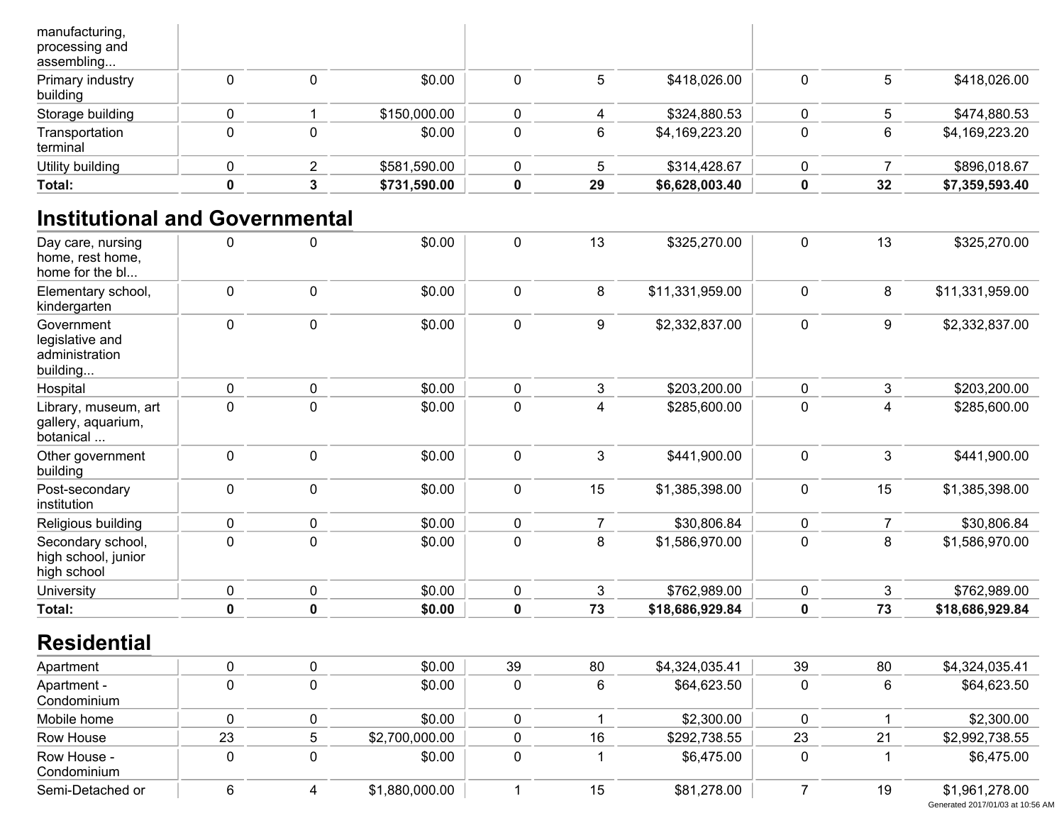| Total:                                         |  | \$731,590.00 | 29 | \$6,628,003.40 | 32 | \$7,359,593.40 |
|------------------------------------------------|--|--------------|----|----------------|----|----------------|
| Utility building                               |  | \$581,590.00 |    | \$314,428.67   |    | \$896,018.67   |
| Transportation<br>terminal                     |  | \$0.00       | 6  | \$4,169,223.20 | 6  | \$4,169,223.20 |
| Storage building                               |  | \$150,000.00 |    | \$324,880.53   |    | \$474,880.53   |
| Primary industry<br>building                   |  | \$0.00       | 5  | \$418,026.00   | 5  | \$418,026.00   |
| manufacturing,<br>processing and<br>assembling |  |              |    |                |    |                |

## **Institutional and Governmental**

| Day care, nursing<br>home, rest home,<br>home for the bl    | 0           | $\mathbf 0$ | \$0.00         | 0           | 13             | \$325,270.00    | 0              | 13             | \$325,270.00    |
|-------------------------------------------------------------|-------------|-------------|----------------|-------------|----------------|-----------------|----------------|----------------|-----------------|
| Elementary school,<br>kindergarten                          | $\pmb{0}$   | $\mathbf 0$ | \$0.00         | 0           | 8              | \$11,331,959.00 | $\pmb{0}$      | 8              | \$11,331,959.00 |
| Government<br>legislative and<br>administration<br>building | 0           | $\pmb{0}$   | \$0.00         | 0           | 9              | \$2,332,837.00  | 0              | 9              | \$2,332,837.00  |
| Hospital                                                    | $\mathbf 0$ | $\mathbf 0$ | \$0.00         | 0           | 3              | \$203,200.00    | 0              | 3              | \$203,200.00    |
| Library, museum, art<br>gallery, aquarium,<br>botanical     | 0           | $\mathbf 0$ | \$0.00         | 0           | 4              | \$285,600.00    | 0              | 4              | \$285,600.00    |
| Other government<br>building                                | $\mathbf 0$ | $\mathbf 0$ | \$0.00         | 0           | 3              | \$441,900.00    | 0              | 3              | \$441,900.00    |
| Post-secondary<br>institution                               | 0           | $\pmb{0}$   | \$0.00         | 0           | 15             | \$1,385,398.00  | 0              | 15             | \$1,385,398.00  |
| Religious building                                          | 0           | $\pmb{0}$   | \$0.00         | $\pmb{0}$   | $\overline{7}$ | \$30,806.84     | 0              | $\overline{7}$ | \$30,806.84     |
| Secondary school,<br>high school, junior<br>high school     | $\mathbf 0$ | $\mathbf 0$ | \$0.00         | $\mathbf 0$ | 8              | \$1,586,970.00  | 0              | 8              | \$1,586,970.00  |
| <b>University</b>                                           | 0           | $\pmb{0}$   | \$0.00         | 0           | 3              | \$762,989.00    | $\pmb{0}$      | 3              | \$762,989.00    |
| Total:                                                      | $\pmb{0}$   | $\mathbf 0$ | \$0.00         | $\mathbf 0$ | 73             | \$18,686,929.84 | $\mathbf 0$    | 73             | \$18,686,929.84 |
| <b>Residential</b>                                          |             |             |                |             |                |                 |                |                |                 |
| Apartment                                                   | 0           | $\pmb{0}$   | \$0.00         | 39          | 80             | \$4,324,035.41  | 39             | 80             | \$4,324,035.41  |
| Apartment -<br>Condominium                                  | 0           | $\pmb{0}$   | \$0.00         | $\pmb{0}$   | 6              | \$64,623.50     | $\mathbf 0$    | 6              | \$64,623.50     |
| Mobile home                                                 | $\pmb{0}$   | $\pmb{0}$   | \$0.00         | 0           | $\mathbf{1}$   | \$2,300.00      | 0              | $\mathbf 1$    | \$2,300.00      |
| Row House                                                   | 23          | 5           | \$2,700,000.00 | 0           | 16             | \$292,738.55    | 23             | 21             | \$2,992,738.55  |
| Row House -<br>Condominium                                  | $\mathbf 0$ | $\mathbf 0$ | \$0.00         | 0           | 1              | \$6,475.00      | 0              | 1              | \$6,475.00      |
| Semi-Detached or                                            | 6           | 4           | \$1,880,000.00 |             | 15             | \$81,278.00     | $\overline{7}$ | 19             | \$1,961,278.00  |

Generated 2017/01/03 at 10:56 AM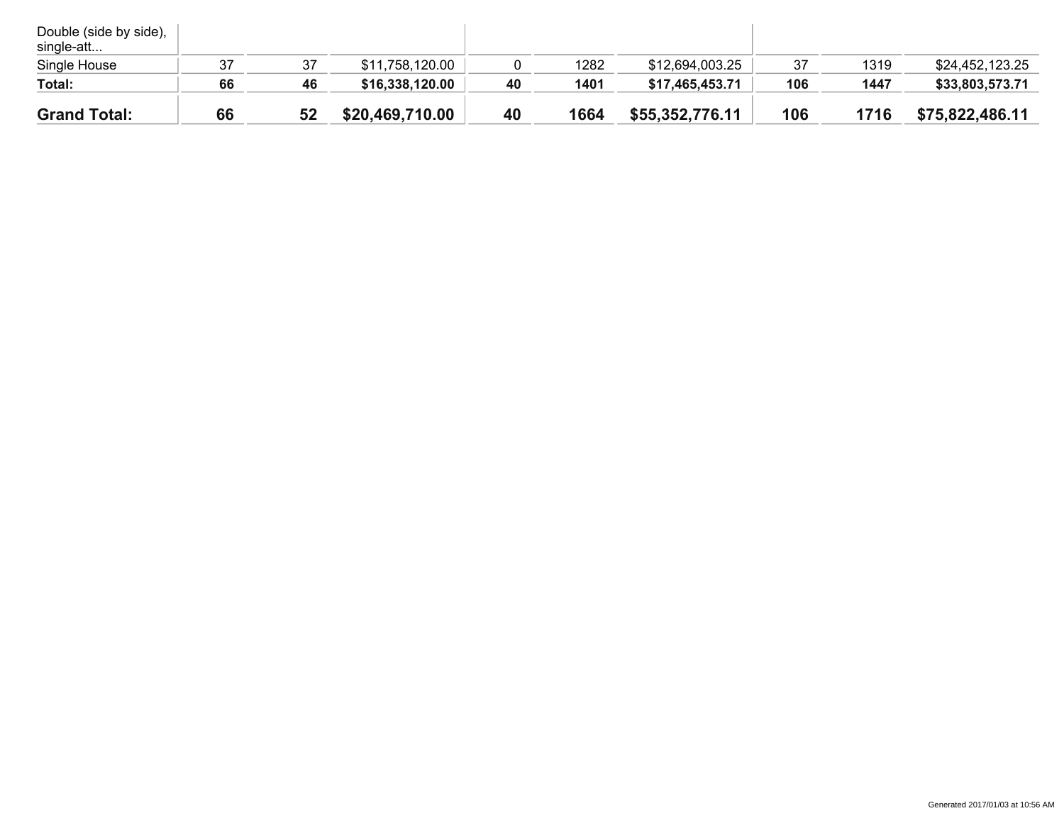| Double (side by side),<br>single-att |    |    |                 |    |      |                 |     |      |                 |
|--------------------------------------|----|----|-----------------|----|------|-----------------|-----|------|-----------------|
| Single House                         | 37 | 37 | \$11,758,120.00 |    | 1282 | \$12,694,003.25 | 37  | 1319 | \$24,452,123.25 |
| Total:                               | 66 | 46 | \$16,338,120.00 | 40 | 1401 | \$17,465,453.71 | 106 | 1447 | \$33,803,573.71 |
| <b>Grand Total:</b>                  | 66 | 52 | \$20,469,710.00 | 40 | 1664 | \$55,352,776.11 | 106 | 1716 | \$75,822,486.11 |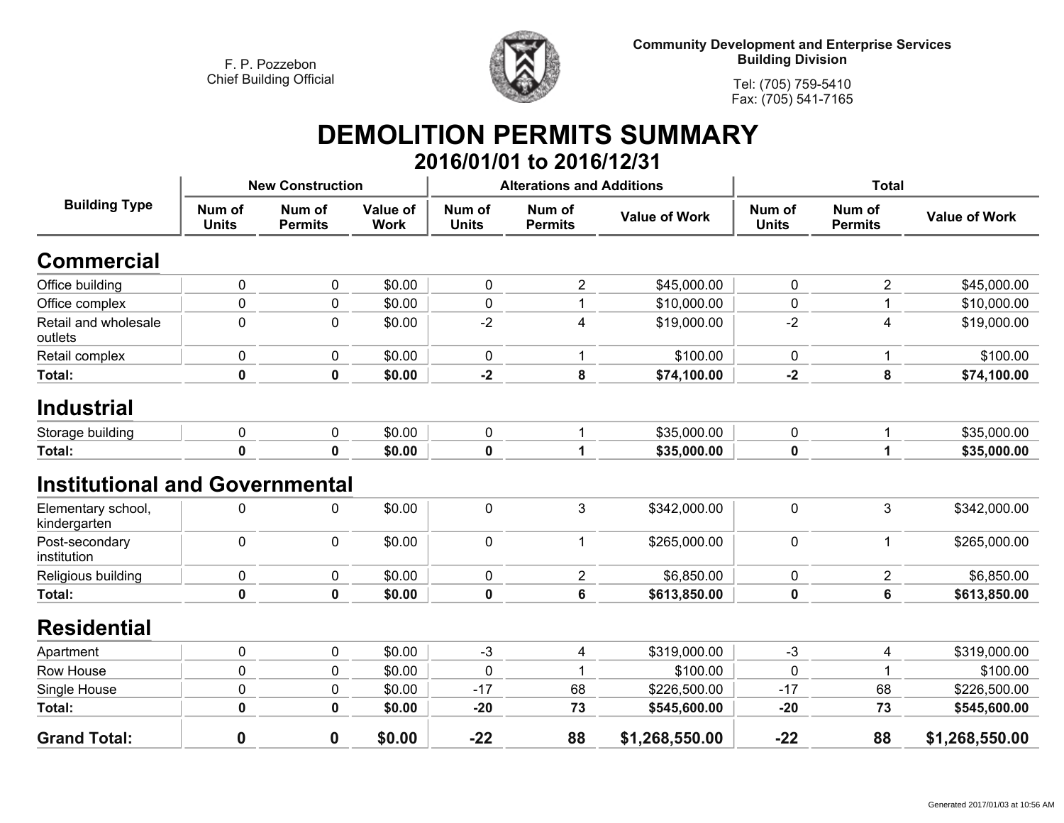

**Tel: (705) 759-5410Fax: (705) 541-7165**

#### **DEMOLITION PERMITS SUMMARY 2016/01/01 to 2016/12/31**

|                                       |                        | <b>New Construction</b>  |                                |                        | <b>Alterations and Additions</b> |                      | <b>Total</b>           |                          |                      |
|---------------------------------------|------------------------|--------------------------|--------------------------------|------------------------|----------------------------------|----------------------|------------------------|--------------------------|----------------------|
| <b>Building Type</b>                  | Num of<br><b>Units</b> | Num of<br><b>Permits</b> | <b>Value of</b><br><b>Work</b> | Num of<br><b>Units</b> | Num of<br><b>Permits</b>         | <b>Value of Work</b> | Num of<br><b>Units</b> | Num of<br><b>Permits</b> | <b>Value of Work</b> |
| <b>Commercial</b>                     |                        |                          |                                |                        |                                  |                      |                        |                          |                      |
| Office building                       | 0                      | 0                        | \$0.00                         | 0                      | $\overline{2}$                   | \$45,000.00          | 0                      | $\overline{2}$           | \$45,000.00          |
| Office complex                        | 0                      | $\pmb{0}$                | \$0.00                         | 0                      | 1                                | \$10,000.00          | 0                      | 1                        | \$10,000.00          |
| Retail and wholesale<br>outlets       | $\mathbf 0$            | $\mathbf 0$              | \$0.00                         | $-2$                   | $\overline{4}$                   | \$19,000.00          | $-2$                   | $\overline{4}$           | \$19,000.00          |
| Retail complex                        | 0                      | $\mathbf 0$              | \$0.00                         | $\mathbf 0$            | 1                                | \$100.00             | $\mathbf 0$            | 1                        | \$100.00             |
| Total:                                | $\mathbf 0$            | 0                        | \$0.00                         | $-2$                   | 8                                | \$74,100.00          | $-2$                   | 8                        | \$74,100.00          |
| <b>Industrial</b>                     |                        |                          |                                |                        |                                  |                      |                        |                          |                      |
| Storage building                      | 0                      | 0                        | \$0.00                         | 0                      |                                  | \$35,000.00          | 0                      | 1                        | \$35,000.00          |
| Total:                                | $\mathbf 0$            | 0                        | \$0.00                         | $\mathbf 0$            | 1                                | \$35,000.00          | $\mathbf 0$            | 1                        | \$35,000.00          |
| <b>Institutional and Governmental</b> |                        |                          |                                |                        |                                  |                      |                        |                          |                      |
| Elementary school,<br>kindergarten    | 0                      | 0                        | \$0.00                         | 0                      | 3                                | \$342,000.00         | $\mathbf 0$            | 3                        | \$342,000.00         |
| Post-secondary<br>institution         | $\mathbf 0$            | $\mathbf 0$              | \$0.00                         | 0                      | 1                                | \$265,000.00         | 0                      | 1                        | \$265,000.00         |
| Religious building                    | 0                      | $\mathbf 0$              | \$0.00                         | 0                      | $\overline{2}$                   | \$6,850.00           | 0                      | $\overline{2}$           | \$6,850.00           |
| Total:                                | $\mathbf 0$            | $\mathbf 0$              | \$0.00                         | 0                      | 6                                | \$613,850.00         | 0                      | 6                        | \$613,850.00         |
| <b>Residential</b>                    |                        |                          |                                |                        |                                  |                      |                        |                          |                      |
| Apartment                             | 0                      | 0                        | \$0.00                         | $-3$                   | 4                                | \$319,000.00         | $-3$                   | 4                        | \$319,000.00         |
| Row House                             | 0                      | $\pmb{0}$                | \$0.00                         | $\mathbf 0$            |                                  | \$100.00             | 0                      | 1                        | \$100.00             |
| Single House                          | $\mathbf 0$            | $\pmb{0}$                | \$0.00                         | $-17$                  | 68                               | \$226,500.00         | $-17$                  | 68                       | \$226,500.00         |
| <b>Total:</b>                         | $\mathbf 0$            | 0                        | \$0.00                         | $-20$                  | 73                               | \$545,600.00         | $-20$                  | 73                       | \$545,600.00         |
| <b>Grand Total:</b>                   | $\bf{0}$               | $\mathbf 0$              | \$0.00                         | $-22$                  | 88                               | \$1,268,550.00       | $-22$                  | 88                       | \$1,268,550.00       |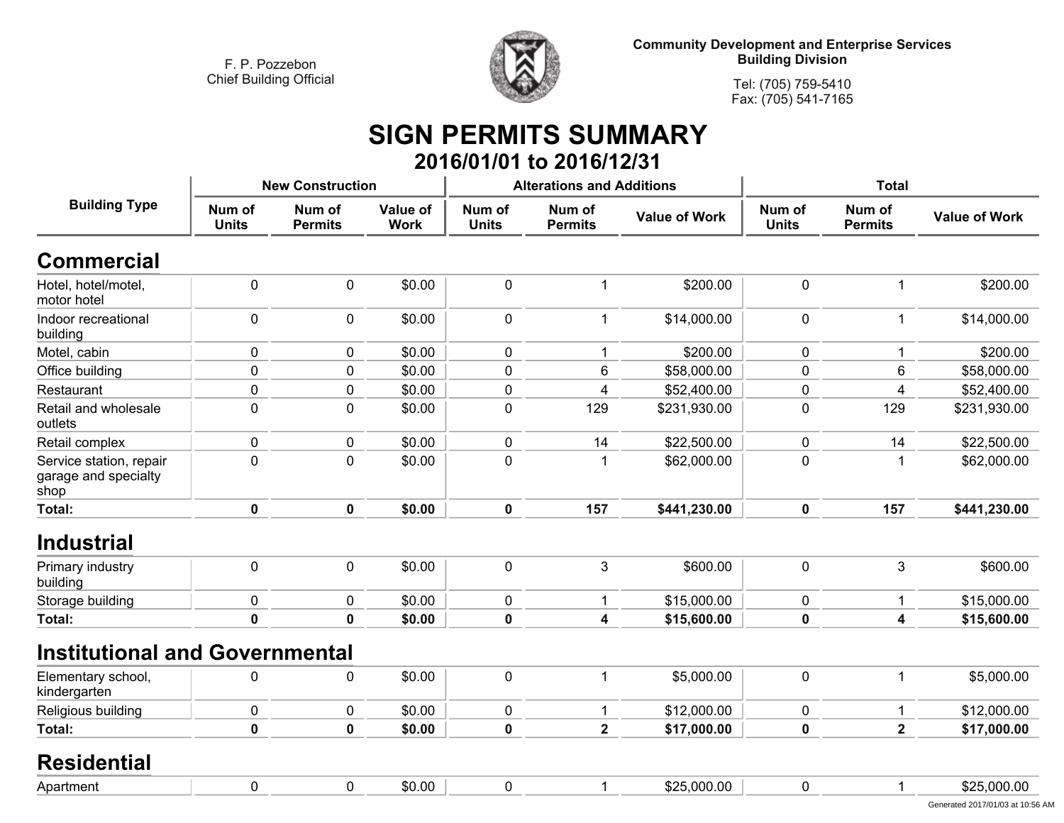

**Tel: (705) 759-5410Fax: (705) 541-7165**

#### **SIGN PERMITS SUMMARY 2016/01/01 to 2016/12/31**

|                                                         |                        | <b>New Construction</b>  |                         |                        | <b>Alterations and Additions</b> |                      | <b>Total</b>           |                          |                      |
|---------------------------------------------------------|------------------------|--------------------------|-------------------------|------------------------|----------------------------------|----------------------|------------------------|--------------------------|----------------------|
| <b>Building Type</b>                                    | Num of<br><b>Units</b> | Num of<br><b>Permits</b> | Value of<br><b>Work</b> | Num of<br><b>Units</b> | Num of<br><b>Permits</b>         | <b>Value of Work</b> | Num of<br><b>Units</b> | Num of<br><b>Permits</b> | <b>Value of Work</b> |
| <b>Commercial</b>                                       |                        |                          |                         |                        |                                  |                      |                        |                          |                      |
| Hotel, hotel/motel,<br>motor hotel                      | 0                      | $\mathbf 0$              | \$0.00                  | 0                      | $\mathbf{1}$                     | \$200.00             | $\mathbf 0$            | $\mathbf 1$              | \$200.00             |
| Indoor recreational<br>building                         | 0                      | $\mathbf 0$              | \$0.00                  | 0                      | $\mathbf 1$                      | \$14,000.00          | $\mathbf 0$            | $\mathbf 1$              | \$14,000.00          |
| Motel, cabin                                            | 0                      | 0                        | \$0.00                  | $\mathbf 0$            | 1                                | \$200.00             | $\mathbf 0$            | 1                        | \$200.00             |
| Office building                                         | 0                      | 0                        | \$0.00                  | 0                      | 6                                | \$58,000.00          | 0                      | 6                        | \$58,000.00          |
| Restaurant                                              | 0                      | $\mathbf 0$              | \$0.00                  | $\pmb{0}$              | $\overline{4}$                   | \$52,400.00          | 0                      | 4                        | \$52,400.00          |
| Retail and wholesale<br>outlets                         | 0                      | $\mathbf 0$              | \$0.00                  | 0                      | 129                              | \$231,930.00         | $\mathbf 0$            | 129                      | \$231,930.00         |
| Retail complex                                          | 0                      | $\pmb{0}$                | \$0.00                  | 0                      | 14                               | \$22,500.00          | $\pmb{0}$              | 14                       | \$22,500.00          |
| Service station, repair<br>garage and specialty<br>shop | $\mathbf 0$            | $\mathbf 0$              | \$0.00                  | $\mathbf 0$            | $\mathbf{1}$                     | \$62,000.00          | 0                      | -1                       | \$62,000.00          |
| <b>Total:</b>                                           | 0                      | $\mathbf{0}$             | \$0.00                  | 0                      | 157                              | \$441,230.00         | 0                      | 157                      | \$441,230.00         |
| <b>Industrial</b>                                       |                        |                          |                         |                        |                                  |                      |                        |                          |                      |
| Primary industry<br>building                            | 0                      | 0                        | \$0.00                  | 0                      | $\mathbf{3}$                     | \$600.00             | $\mathbf 0$            | 3                        | \$600.00             |
| Storage building                                        | 0                      | 0                        | \$0.00                  | 0                      | 1                                | \$15,000.00          | 0                      | -1                       | \$15,000.00          |
| <b>Total:</b>                                           | $\mathbf 0$            | $\mathbf 0$              | \$0.00                  | 0                      | 4                                | \$15,600.00          | $\mathbf 0$            | 4                        | \$15,600.00          |
| <b>Institutional and Governmental</b>                   |                        |                          |                         |                        |                                  |                      |                        |                          |                      |
| Elementary school,<br>kindergarten                      | 0                      | 0                        | \$0.00                  | $\mathbf 0$            | 1                                | \$5,000.00           | $\mathbf 0$            | $\mathbf 1$              | \$5,000.00           |
| Religious building                                      | 0                      | $\pmb{0}$                | \$0.00                  | 0                      | $\mathbf{1}$                     | \$12,000.00          | $\pmb{0}$              | -1                       | \$12,000.00          |
| Total:                                                  | $\mathbf 0$            | $\mathbf 0$              | \$0.00                  | $\mathbf 0$            | $\overline{2}$                   | \$17,000.00          | $\mathbf 0$            | $\overline{2}$           | \$17,000.00          |
| <b>Residential</b>                                      |                        |                          |                         |                        |                                  |                      |                        |                          |                      |
| Apartment                                               | 0                      | 0                        | \$0.00                  | 0                      | 1                                | \$25,000.00          | 0                      | 1                        | \$25,000.00          |
|                                                         |                        |                          |                         |                        |                                  |                      |                        |                          |                      |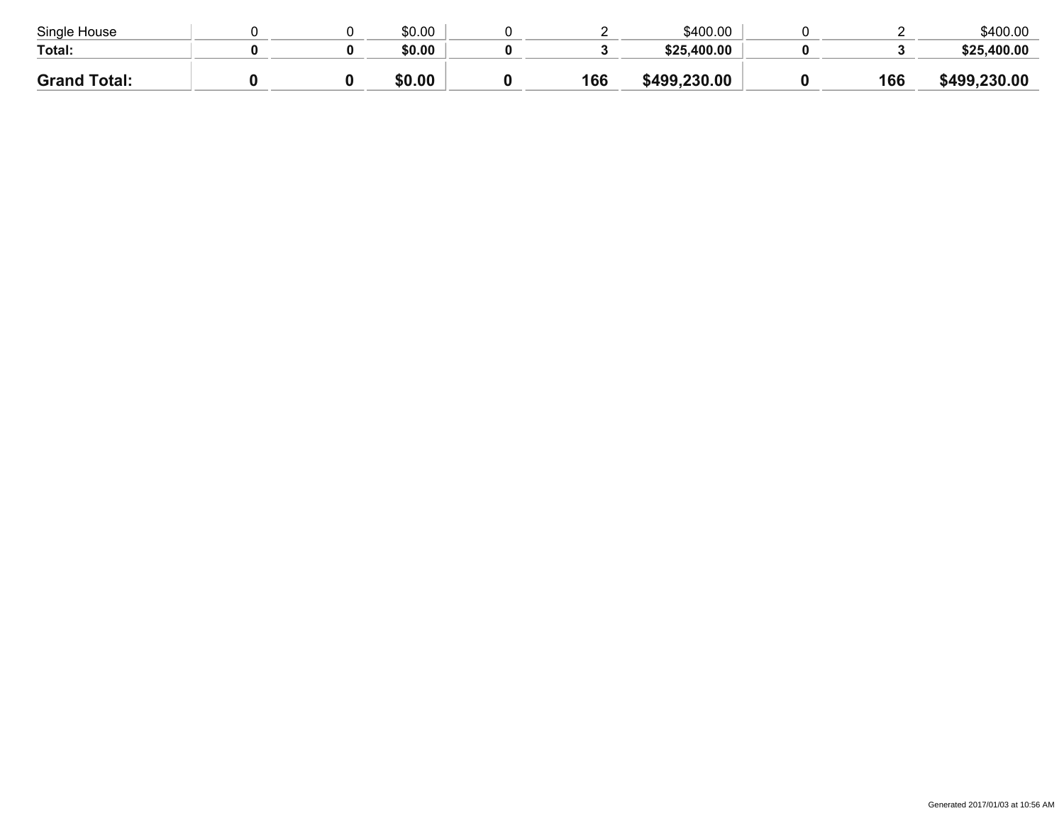| Single House           |  | \$0.00 |     | \$400.00    |     | \$400.00     |
|------------------------|--|--------|-----|-------------|-----|--------------|
| Total:                 |  | \$0.00 |     | \$25,400.00 |     | \$25,400.00  |
| <b>Grand</b><br>Total: |  | \$0.00 | 166 | 499,230.00  | 166 | \$499,230.00 |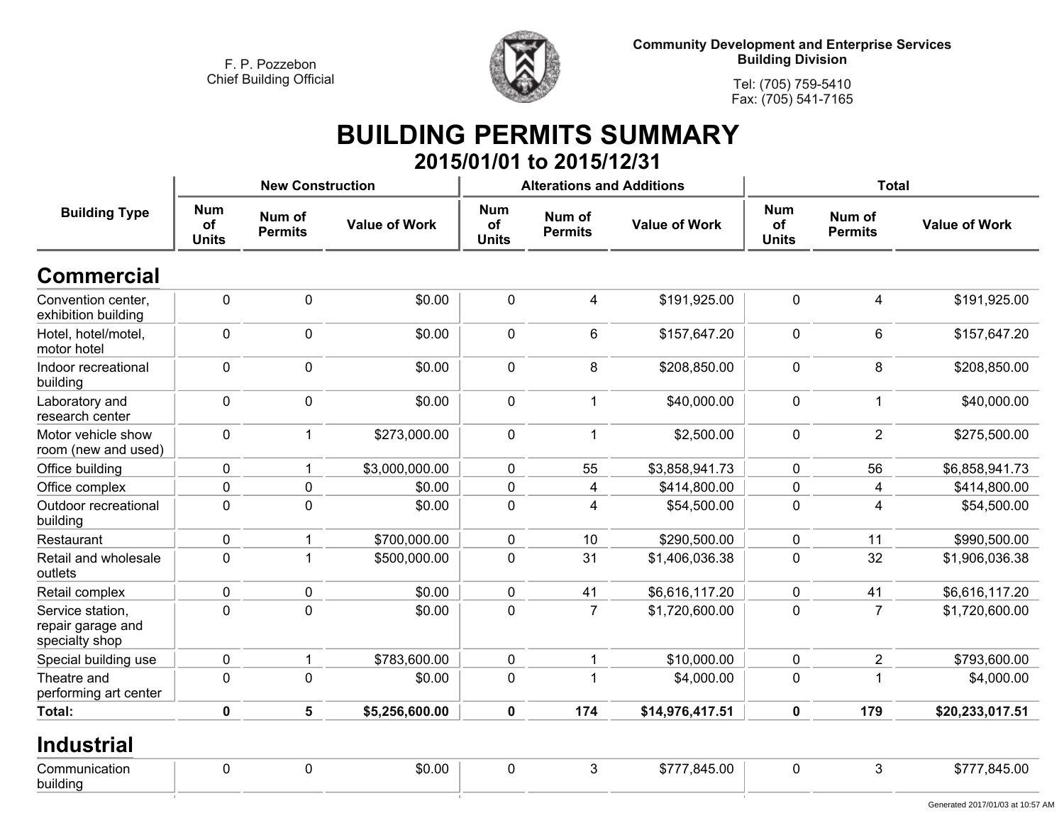

**Tel: (705) 759-5410 Fax: (705) 541-7165**

#### **BUILDING PERMITS SUMMARY 2015/01/01 to 2015/12/31**

|                                                         |                                  | <b>New Construction</b>  |                      |                                  | <b>Alterations and Additions</b> |                      | <b>Total</b>                     |                          |                                  |  |
|---------------------------------------------------------|----------------------------------|--------------------------|----------------------|----------------------------------|----------------------------------|----------------------|----------------------------------|--------------------------|----------------------------------|--|
| <b>Building Type</b>                                    | <b>Num</b><br>of<br><b>Units</b> | Num of<br><b>Permits</b> | <b>Value of Work</b> | <b>Num</b><br>of<br><b>Units</b> | Num of<br><b>Permits</b>         | <b>Value of Work</b> | <b>Num</b><br>of<br><b>Units</b> | Num of<br><b>Permits</b> | <b>Value of Work</b>             |  |
| <b>Commercial</b>                                       |                                  |                          |                      |                                  |                                  |                      |                                  |                          |                                  |  |
| Convention center,<br>exhibition building               | $\mathbf 0$                      | $\mathbf 0$              | \$0.00               | $\mathbf 0$                      | 4                                | \$191,925.00         | $\mathbf 0$                      | 4                        | \$191,925.00                     |  |
| Hotel, hotel/motel,<br>motor hotel                      | $\mathbf 0$                      | $\mathbf 0$              | \$0.00               | $\mathbf 0$                      | 6                                | \$157,647.20         | $\mathbf 0$                      | $6\phantom{1}$           | \$157,647.20                     |  |
| Indoor recreational<br>building                         | $\mathbf 0$                      | 0                        | \$0.00               | $\mathbf 0$                      | 8                                | \$208,850.00         | $\mathbf 0$                      | 8                        | \$208,850.00                     |  |
| Laboratory and<br>research center                       | $\mathbf 0$                      | $\mathbf 0$              | \$0.00               | $\mathbf 0$                      | 1                                | \$40,000.00          | $\mathbf 0$                      | $\mathbf{1}$             | \$40,000.00                      |  |
| Motor vehicle show<br>room (new and used)               | $\mathbf 0$                      | $\mathbf{1}$             | \$273,000.00         | $\mathbf 0$                      | 1                                | \$2,500.00           | $\mathbf 0$                      | $\overline{2}$           | \$275,500.00                     |  |
| Office building                                         | $\mathbf 0$                      | $\mathbf 1$              | \$3,000,000.00       | $\mathbf 0$                      | 55                               | \$3,858,941.73       | $\mathbf 0$                      | 56                       | \$6,858,941.73                   |  |
| Office complex                                          | $\mathbf 0$                      | $\mathbf 0$              | \$0.00               | $\mathbf 0$                      | 4                                | \$414,800.00         | $\pmb{0}$                        | 4                        | \$414,800.00                     |  |
| Outdoor recreational<br>building                        | $\mathbf 0$                      | 0                        | \$0.00               | $\mathbf 0$                      | 4                                | \$54,500.00          | $\mathbf 0$                      | $\overline{4}$           | \$54,500.00                      |  |
| Restaurant                                              | $\mathbf 0$                      | 1                        | \$700,000.00         | $\mathbf 0$                      | 10                               | \$290,500.00         | $\mathbf 0$                      | 11                       | \$990,500.00                     |  |
| Retail and wholesale<br>outlets                         | $\mathbf 0$                      |                          | \$500,000.00         | $\mathbf 0$                      | 31                               | \$1,406,036.38       | $\mathbf 0$                      | 32                       | \$1,906,036.38                   |  |
| Retail complex                                          | $\mathbf 0$                      | 0                        | \$0.00               | $\mathbf 0$                      | 41                               | \$6,616,117.20       | $\mathbf 0$                      | 41                       | \$6,616,117.20                   |  |
| Service station,<br>repair garage and<br>specialty shop | $\mathbf 0$                      | 0                        | \$0.00               | $\pmb{0}$                        | $\overline{7}$                   | \$1,720,600.00       | $\pmb{0}$                        | $\overline{7}$           | \$1,720,600.00                   |  |
| Special building use                                    | $\mathbf 0$                      | 1                        | \$783,600.00         | $\mathbf 0$                      | 1                                | \$10,000.00          | $\pmb{0}$                        | $\overline{2}$           | \$793,600.00                     |  |
| Theatre and<br>performing art center                    | $\mathbf 0$                      | 0                        | \$0.00               | $\mathbf 0$                      | 1                                | \$4,000.00           | $\mathbf 0$                      | -1                       | \$4,000.00                       |  |
| Total:                                                  | $\mathbf 0$                      | 5                        | \$5,256,600.00       | 0                                | 174                              | \$14,976,417.51      | $\mathbf 0$                      | 179                      | \$20,233,017.51                  |  |
| <b>Industrial</b>                                       |                                  |                          |                      |                                  |                                  |                      |                                  |                          |                                  |  |
| Communication<br>building                               | $\mathbf 0$                      | $\pmb{0}$                | \$0.00               | $\pmb{0}$                        | 3                                | \$777,845.00         | $\pmb{0}$                        | 3                        | \$777,845.00                     |  |
|                                                         |                                  |                          |                      |                                  |                                  |                      |                                  |                          | Generated 2017/01/03 at 10:57 AM |  |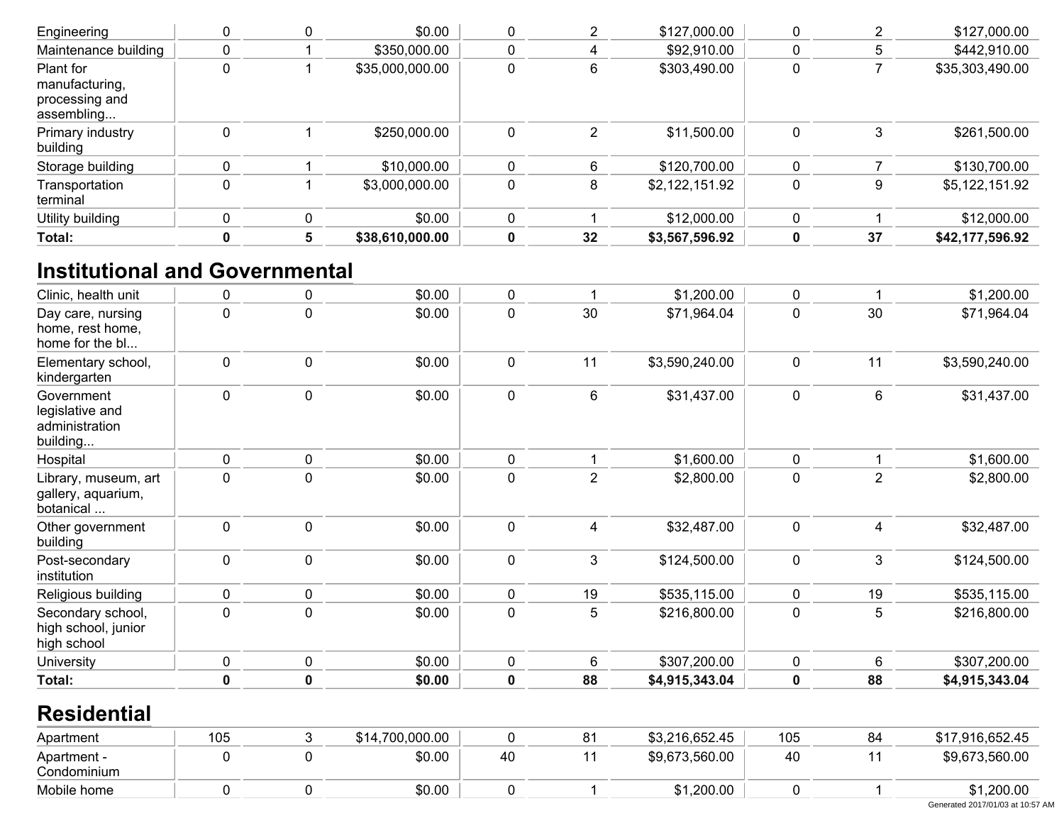| Total:                                                      | 5        | \$38,610,000.00 |          | 32 | \$3,567,596.92 | 0 | 37 | \$42,177,596.92 |
|-------------------------------------------------------------|----------|-----------------|----------|----|----------------|---|----|-----------------|
| Utility building                                            | $\Omega$ | \$0.00          | $\Omega$ |    | \$12,000.00    | 0 |    | \$12,000.00     |
| Transportation<br>terminal                                  |          | \$3,000,000.00  | 0        |    | \$2,122,151.92 | 0 | 9  | \$5,122,151.92  |
| Storage building                                            |          | \$10,000.00     |          |    | \$120,700.00   |   |    | \$130,700.00    |
| Primary industry<br>building                                |          | \$250,000.00    | 0        |    | \$11,500.00    | 0 | 3  | \$261,500.00    |
| Plant for<br>manufacturing,<br>processing and<br>assembling |          | \$35,000,000.00 | 0        |    | \$303,490.00   | 0 |    | \$35,303,490.00 |
| Maintenance building                                        |          | \$350,000.00    |          |    | \$92,910.00    | 0 | 5  | \$442,910.00    |
| Engineering                                                 |          | \$0.00          |          |    | \$127,000.00   |   |    | \$127,000.00    |

## **Institutional and Governmental**

| Clinic, health unit                                         | 0   | 0           | \$0.00          | 0           | 1              | \$1,200.00     | 0           |                | \$1,200.00                       |
|-------------------------------------------------------------|-----|-------------|-----------------|-------------|----------------|----------------|-------------|----------------|----------------------------------|
| Day care, nursing<br>home, rest home,<br>home for the bl    | 0   | 0           | \$0.00          | $\pmb{0}$   | 30             | \$71,964.04    | 0           | 30             | \$71,964.04                      |
| Elementary school,<br>kindergarten                          | 0   | 0           | \$0.00          | $\mathbf 0$ | 11             | \$3,590,240.00 | 0           | 11             | \$3,590,240.00                   |
| Government<br>legislative and<br>administration<br>building | 0   | 0           | \$0.00          | $\pmb{0}$   | 6              | \$31,437.00    | 0           | 6              | \$31,437.00                      |
| Hospital                                                    | 0   | 0           | \$0.00          | $\pmb{0}$   | 1              | \$1,600.00     | 0           |                | \$1,600.00                       |
| Library, museum, art<br>gallery, aquarium,<br>botanical     | 0   | 0           | \$0.00          | $\mathbf 0$ | $\overline{2}$ | \$2,800.00     | 0           | $\overline{2}$ | \$2,800.00                       |
| Other government<br>building                                | 0   | 0           | \$0.00          | $\mathbf 0$ | 4              | \$32,487.00    | 0           | 4              | \$32,487.00                      |
| Post-secondary<br>institution                               | 0   | 0           | \$0.00          | $\pmb{0}$   | 3              | \$124,500.00   | 0           | 3              | \$124,500.00                     |
| Religious building                                          | 0   | 0           | \$0.00          | $\mathbf 0$ | 19             | \$535,115.00   | $\mathbf 0$ | 19             | \$535,115.00                     |
| Secondary school,<br>high school, junior<br>high school     | 0   | 0           | \$0.00          | 0           | 5              | \$216,800.00   | 0           | 5              | \$216,800.00                     |
| University                                                  | 0   | 0           | \$0.00          | $\pmb{0}$   | 6              | \$307,200.00   | 0           | 6              | \$307,200.00                     |
| <b>Total:</b>                                               | 0   | $\mathbf 0$ | \$0.00          | $\mathbf 0$ | 88             | \$4,915,343.04 | 0           | 88             | \$4,915,343.04                   |
| <b>Residential</b>                                          |     |             |                 |             |                |                |             |                |                                  |
| Apartment                                                   | 105 | 3           | \$14,700,000.00 | $\mathbf 0$ | 81             | \$3,216,652.45 | 105         | 84             | \$17,916,652.45                  |
| Apartment -<br>Condominium                                  | 0   | 0           | \$0.00          | 40          | 11             | \$9,673,560.00 | 40          | 11             | \$9,673,560.00                   |
| Mobile home                                                 | 0   | 0           | \$0.00          | $\mathbf 0$ | 1              | \$1,200.00     | 0           |                | \$1,200.00                       |
|                                                             |     |             |                 |             |                |                |             |                | Generated 2017/01/03 at 10:57 AM |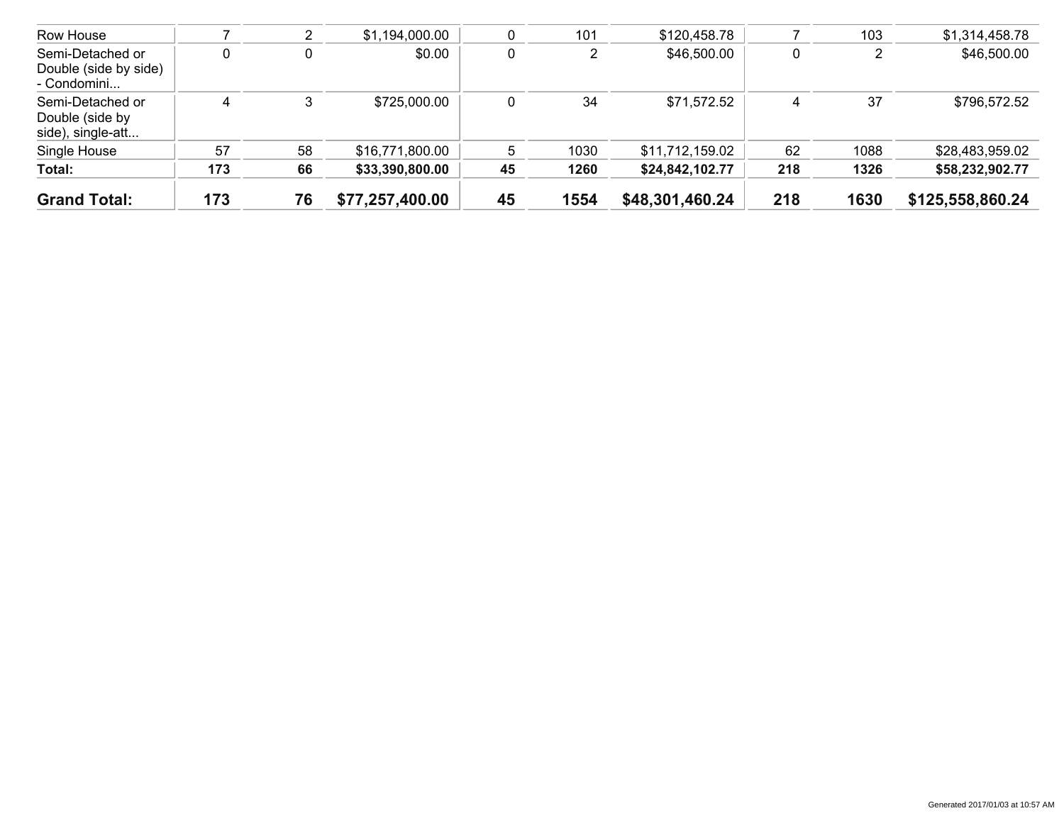| <b>Grand Total:</b>                                      | 173 | 76 | \$77,257,400.00 | 45 | 1554 | \$48,301,460.24 | 218 | 1630 | \$125,558,860.24 |
|----------------------------------------------------------|-----|----|-----------------|----|------|-----------------|-----|------|------------------|
| Total:                                                   | 173 | 66 | \$33,390,800.00 | 45 | 1260 | \$24,842,102.77 | 218 | 1326 | \$58,232,902.77  |
| Single House                                             | 57  | 58 | \$16,771,800.00 | 5  | 1030 | \$11,712,159.02 | 62  | 1088 | \$28,483,959.02  |
| Semi-Detached or<br>Double (side by<br>side), single-att | 4   |    | \$725,000.00    | 0  | 34   | \$71,572.52     | 4   | 37   | \$796,572.52     |
| Semi-Detached or<br>Double (side by side)<br>- Condomini | 0   |    | \$0.00          | 0  |      | \$46,500.00     | 0   |      | \$46,500.00      |
| Row House                                                |     | ∠  | \$1,194,000.00  |    | 101  | \$120,458.78    |     | 103  | \$1,314,458.78   |
|                                                          |     |    |                 |    |      |                 |     |      |                  |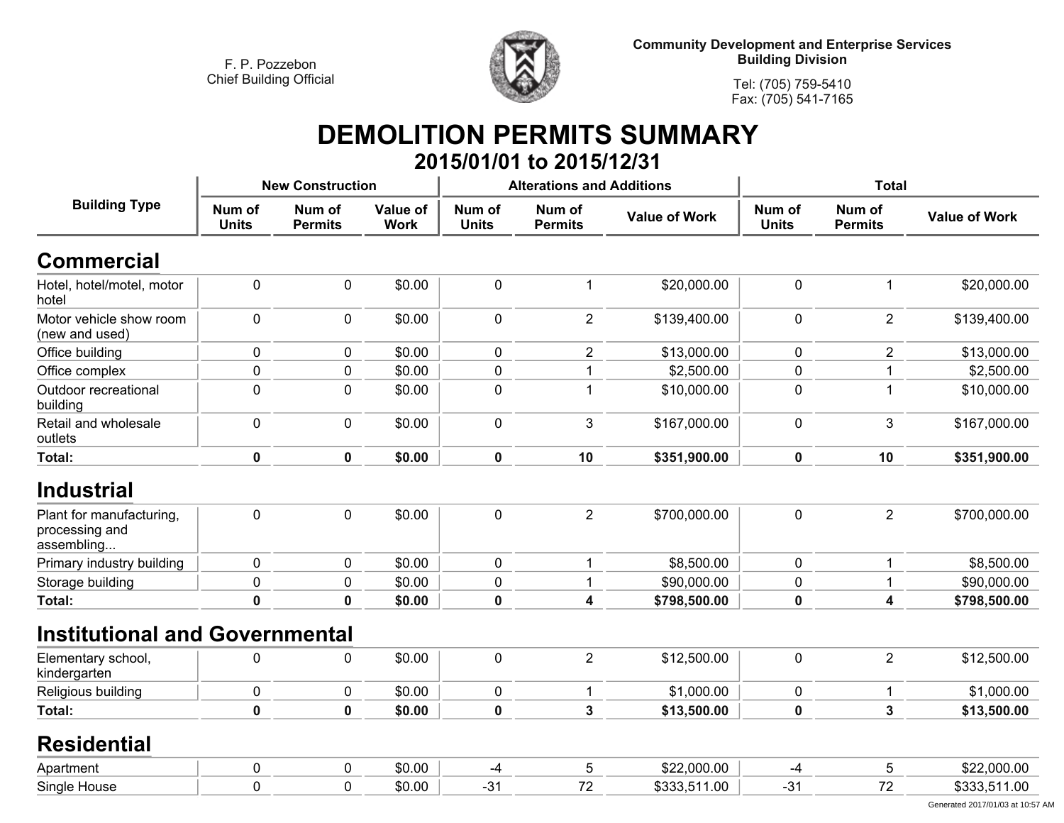

**Tel: (705) 759-5410Fax: (705) 541-7165**

# **DEMOLITION PERMITS SUMMARY**

|                                                          |                        |                          |                         |                        | 2015/01/01 to 2015/12/31         |                      |                        |                          |                      |
|----------------------------------------------------------|------------------------|--------------------------|-------------------------|------------------------|----------------------------------|----------------------|------------------------|--------------------------|----------------------|
|                                                          |                        | <b>New Construction</b>  |                         |                        | <b>Alterations and Additions</b> |                      |                        | <b>Total</b>             |                      |
| <b>Building Type</b>                                     | Num of<br><b>Units</b> | Num of<br><b>Permits</b> | Value of<br><b>Work</b> | Num of<br><b>Units</b> | Num of<br><b>Permits</b>         | <b>Value of Work</b> | Num of<br><b>Units</b> | Num of<br><b>Permits</b> | <b>Value of Work</b> |
| <b>Commercial</b>                                        |                        |                          |                         |                        |                                  |                      |                        |                          |                      |
| Hotel, hotel/motel, motor<br>hotel                       | $\pmb{0}$              | $\pmb{0}$                | \$0.00                  | $\pmb{0}$              | 1                                | \$20,000.00          | 0                      |                          | \$20,000.00          |
| Motor vehicle show room<br>(new and used)                | $\pmb{0}$              | $\mathbf 0$              | \$0.00                  | $\mathbf 0$            | $\overline{2}$                   | \$139,400.00         | 0                      | $\overline{2}$           | \$139,400.00         |
| Office building                                          | $\pmb{0}$              | $\mathbf 0$              | \$0.00                  | $\pmb{0}$              | $\overline{c}$                   | \$13,000.00          | 0                      | $\overline{c}$           | \$13,000.00          |
| Office complex                                           | $\pmb{0}$              | 0                        | \$0.00                  | $\pmb{0}$              |                                  | \$2,500.00           | 0                      |                          | \$2,500.00           |
| Outdoor recreational<br>building                         | $\pmb{0}$              | 0                        | \$0.00                  | 0                      | 1                                | \$10,000.00          | 0                      | 1                        | \$10,000.00          |
| Retail and wholesale<br>outlets                          | $\pmb{0}$              | $\mathbf 0$              | \$0.00                  | $\mathbf 0$            | 3                                | \$167,000.00         | 0                      | 3                        | \$167,000.00         |
| Total:                                                   | $\pmb{0}$              | $\mathbf 0$              | \$0.00                  | $\pmb{0}$              | 10                               | \$351,900.00         | $\mathbf 0$            | 10                       | \$351,900.00         |
| <b>Industrial</b>                                        |                        |                          |                         |                        |                                  |                      |                        |                          |                      |
| Plant for manufacturing,<br>processing and<br>assembling | $\pmb{0}$              | 0                        | \$0.00                  | $\pmb{0}$              | $\overline{2}$                   | \$700,000.00         | 0                      | $\overline{2}$           | \$700,000.00         |
| Primary industry building                                | $\pmb{0}$              | 0                        | \$0.00                  | $\mathbf 0$            | 1                                | \$8,500.00           | 0                      |                          | \$8,500.00           |
| Storage building                                         | $\pmb{0}$              | $\pmb{0}$                | \$0.00                  | $\pmb{0}$              | $\mathbf 1$                      | \$90,000.00          | 0                      |                          | \$90,000.00          |
| Total:                                                   | $\pmb{0}$              | $\mathbf 0$              | \$0.00                  | $\mathbf 0$            | 4                                | \$798,500.00         | $\mathbf 0$            | 4                        | \$798,500.00         |
| <b>Institutional and Governmental</b>                    |                        |                          |                         |                        |                                  |                      |                        |                          |                      |
| Elementary school,<br>kindergarten                       | $\pmb{0}$              | $\mathbf 0$              | \$0.00                  | $\mathbf 0$            | $\overline{2}$                   | \$12,500.00          | 0                      | $\overline{2}$           | \$12,500.00          |
| Religious building                                       | $\pmb{0}$              | $\mathbf 0$              | \$0.00                  | $\pmb{0}$              | 1                                | \$1,000.00           | 0                      | $\mathbf{1}$             | \$1,000.00           |
| Total:                                                   | $\mathbf 0$            | $\mathbf 0$              | \$0.00                  | $\mathbf 0$            | 3                                | \$13,500.00          | 0                      | 3                        | \$13,500.00          |
| <b>Residential</b>                                       |                        |                          |                         |                        |                                  |                      |                        |                          |                      |
| Apartment                                                | $\pmb{0}$              | 0                        | \$0.00                  | $-4$                   | 5                                | \$22,000.00          | $-4$                   | 5                        | \$22,000.00          |
| Single House                                             | $\mathbf 0$            | $\mathbf 0$              | \$0.00                  | $-31$                  | 72                               | \$333,511.00         | $-31$                  | 72                       | \$333,511.00         |
|                                                          |                        |                          |                         |                        |                                  |                      |                        |                          |                      |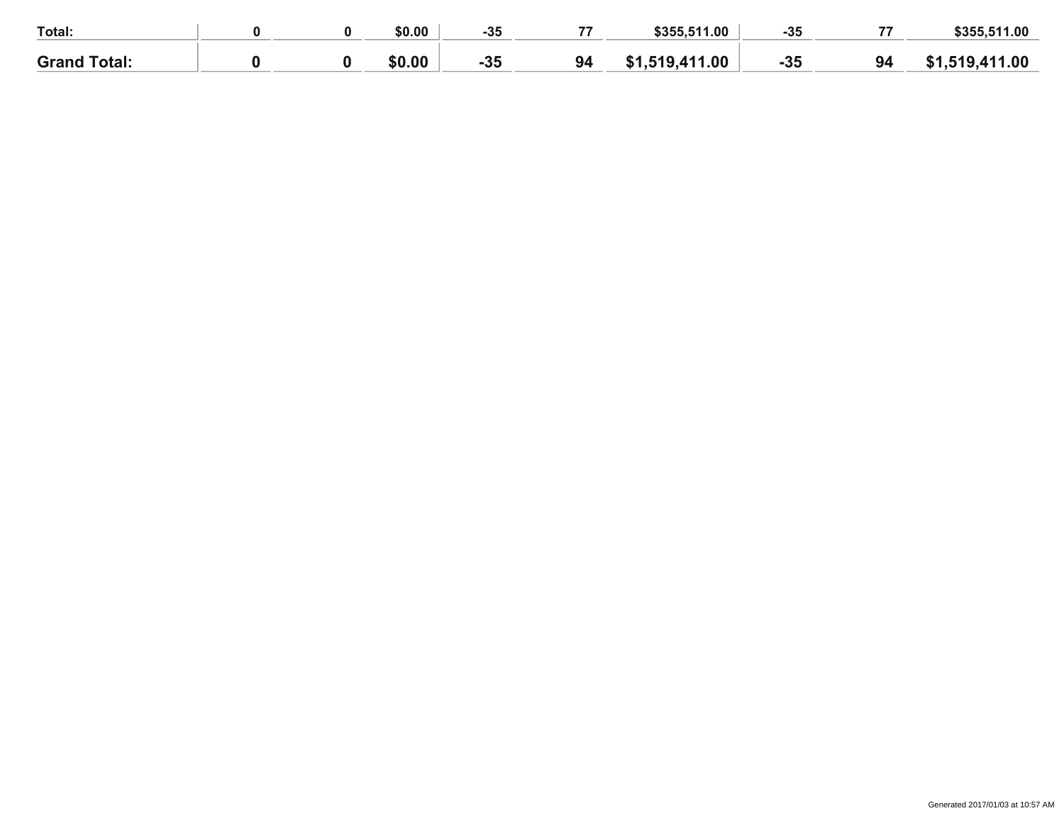| Total:              |  | \$0.00 | $-35$ | \$355,511.00                   | -35   | $\rightarrow$ | \$355,511.00 |
|---------------------|--|--------|-------|--------------------------------|-------|---------------|--------------|
| <b>Grand Total:</b> |  | \$0.00 | $-35$ | .519,411.00<br><b>C</b> 1<br>. | $-35$ | 94            | 519,411.00   |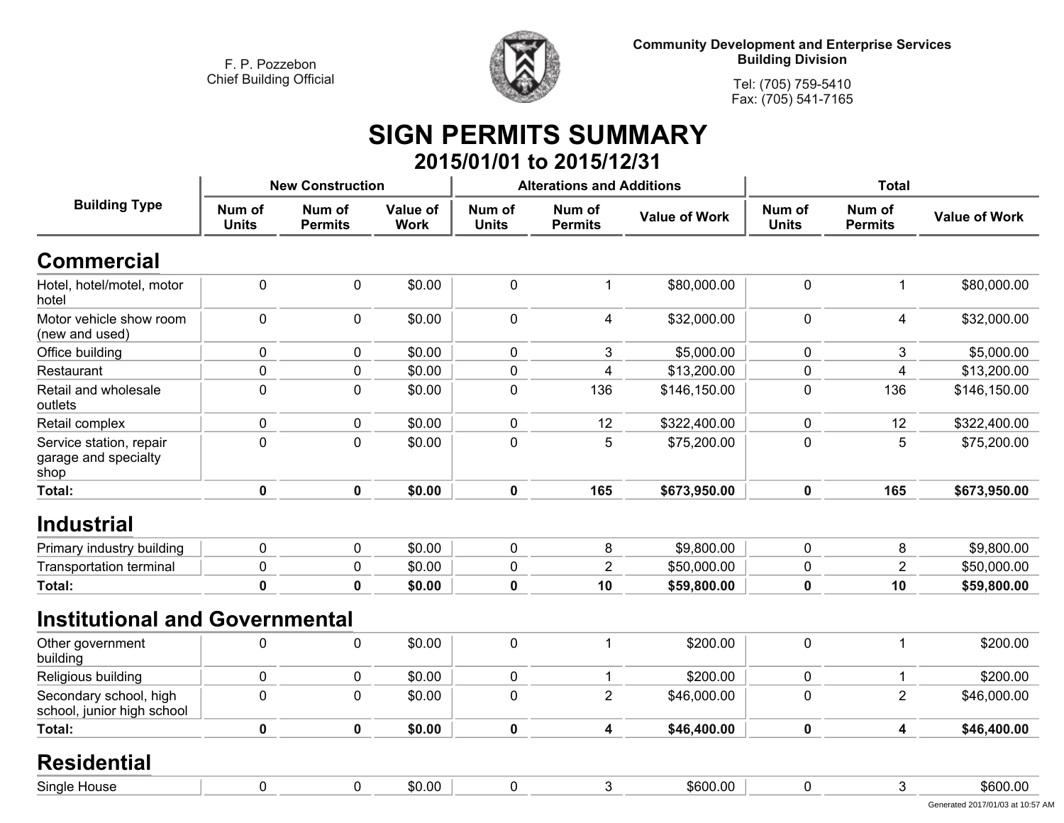

**Tel: (705) 759-5410Fax: (705) 541-7165**

#### **SIGN PERMITS SUMMARY 2015/01/01 to 2015/12/31**

| <b>Building Type</b>                                    | <b>New Construction</b> |                          |                         |                        | <b>Alterations and Additions</b> |                      | <b>Total</b>           |                          |                      |
|---------------------------------------------------------|-------------------------|--------------------------|-------------------------|------------------------|----------------------------------|----------------------|------------------------|--------------------------|----------------------|
|                                                         | Num of<br><b>Units</b>  | Num of<br><b>Permits</b> | Value of<br><b>Work</b> | Num of<br><b>Units</b> | Num of<br><b>Permits</b>         | <b>Value of Work</b> | Num of<br><b>Units</b> | Num of<br><b>Permits</b> | <b>Value of Work</b> |
| <b>Commercial</b>                                       |                         |                          |                         |                        |                                  |                      |                        |                          |                      |
| Hotel, hotel/motel, motor<br>hotel                      | $\pmb{0}$               | 0                        | \$0.00                  | $\mathbf 0$            | $\mathbf 1$                      | \$80,000.00          | 0                      | 1                        | \$80,000.00          |
| Motor vehicle show room<br>(new and used)               | $\mathbf 0$             | 0                        | \$0.00                  | $\mathbf 0$            | $\overline{4}$                   | \$32,000.00          | $\mathbf 0$            | 4                        | \$32,000.00          |
| Office building                                         | $\pmb{0}$               | 0                        | \$0.00                  | $\mathbf 0$            | 3                                | \$5,000.00           | 0                      | 3                        | \$5,000.00           |
| Restaurant                                              | $\mathbf 0$             | 0                        | \$0.00                  | $\mathbf 0$            | $\overline{4}$                   | \$13,200.00          | $\mathbf 0$            | 4                        | \$13,200.00          |
| Retail and wholesale<br>outlets                         | $\pmb{0}$               | 0                        | \$0.00                  | $\pmb{0}$              | 136                              | \$146,150.00         | $\pmb{0}$              | 136                      | \$146,150.00         |
| Retail complex                                          | $\mathbf 0$             | 0                        | \$0.00                  | $\mathbf 0$            | 12                               | \$322,400.00         | 0                      | 12                       | \$322,400.00         |
| Service station, repair<br>garage and specialty<br>shop | $\mathbf 0$             | 0                        | \$0.00                  | $\mathbf 0$            | 5                                | \$75,200.00          | $\mathbf 0$            | 5                        | \$75,200.00          |
| Total:                                                  | $\pmb{0}$               | $\mathbf 0$              | \$0.00                  | $\mathbf 0$            | 165                              | \$673,950.00         | $\mathbf 0$            | 165                      | \$673,950.00         |
| <b>Industrial</b>                                       |                         |                          |                         |                        |                                  |                      |                        |                          |                      |
| Primary industry building                               | $\pmb{0}$               | 0                        | \$0.00                  | $\pmb{0}$              | 8                                | \$9,800.00           | 0                      | 8                        | \$9,800.00           |
| <b>Transportation terminal</b>                          | $\mathbf 0$             | 0                        | \$0.00                  | $\mathbf 0$            | $\overline{2}$                   | \$50,000.00          | $\mathbf 0$            | $\overline{2}$           | \$50,000.00          |
| Total:                                                  | $\mathbf 0$             | 0                        | \$0.00                  | $\mathbf 0$            | 10                               | \$59,800.00          | $\pmb{0}$              | 10                       | \$59,800.00          |
| <b>Institutional and Governmental</b>                   |                         |                          |                         |                        |                                  |                      |                        |                          |                      |
| Other government<br>building                            | $\mathbf 0$             | 0                        | \$0.00                  | $\mathbf 0$            | 1                                | \$200.00             | $\mathbf 0$            | $\mathbf 1$              | \$200.00             |
| Religious building                                      | $\pmb{0}$               | 0                        | \$0.00                  | $\pmb{0}$              | $\mathbf 1$                      | \$200.00             | 0                      | 1                        | \$200.00             |
| Secondary school, high<br>school, junior high school    | $\overline{0}$          | 0                        | \$0.00                  | $\mathbf 0$            | $\overline{2}$                   | \$46,000.00          | $\overline{0}$         | $\overline{2}$           | \$46,000.00          |
| <b>Total:</b>                                           | $\mathbf 0$             | $\mathbf 0$              | \$0.00                  | $\mathbf 0$            | 4                                | \$46,400.00          | $\mathbf 0$            | 4                        | \$46,400.00          |
| <b>Residential</b>                                      |                         |                          |                         |                        |                                  |                      |                        |                          |                      |
| Single House                                            | $\mathbf 0$             | 0                        | \$0.00                  | $\mathbf 0$            | 3                                | \$600.00             | 0                      | 3                        | \$600.00             |
|                                                         |                         |                          |                         |                        |                                  |                      |                        |                          |                      |